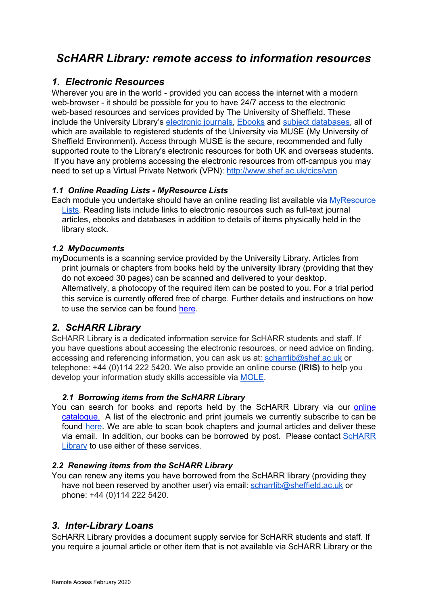# *ScHARR Library: remote access to information resources*

## *1. Electronic Resources*

Wherever you are in the world - provided you can access the internet with a modern web-browser - it should be possible for you to have 24/7 access to the electronic web-based resources and services provided by The University of Sheffield. These include the University Library's [electronic journals,](http://www.sheffield.ac.uk/library/elecjnls/introejs) [Ebooks](http://www.sheffield.ac.uk/library/ebook) and [subject databases,](http://www.shef.ac.uk/library/cdfiles/introdbs) all of which are available to registered students of the University via MUSE (My University of Sheffield Environment). Access through MUSE is the secure, recommended and fully supported route to the Library's electronic resources for both UK and overseas students. If you have any problems accessing the electronic resources from off-campus you may need to set up a Virtual Private Network (VPN): <http://www.shef.ac.uk/cics/vpn>

### *1.1 Online Reading Lists - MyResource Lists*

Each module you undertake should have an online reading list available via MyResource [Lists.](http://myresourcelists.shef.ac.uk/) Reading lists include links to electronic resources such as full-text journal articles, ebooks and databases in addition to details of items physically held in the library stock.

#### *1.2 MyDocuments*

myDocuments is a scanning service provided by the University Library. Articles from print journals or chapters from books held by the university library (providing that they do not exceed 30 pages) can be scanned and delivered to your desktop. Alternatively, a photocopy of the required item can be posted to you. For a trial period this service is currently offered free of charge. Further details and instructions on how to use the service can be found [here](http://www.sheffield.ac.uk/library/services/scan).

# *2. ScHARR Library*

ScHARR Library is a dedicated information service for ScHARR students and staff. If you have questions about accessing the electronic resources, or need advice on finding, accessing and referencing information, you can ask us at: [scharrlib@shef.ac.uk](mailto:scharrlib@shef.ac.uk) or telephone: +44 (0)114 222 5420. We also provide an online course **(IRIS)** to help you develop your information study skills accessible via [MOLE.](https://vle.shef.ac.uk/webapps/portal/frameset.jsp?tab_tab_group_id=_2_1&url=%2Fwebapps%2Fblackboard%2Fexecute%2Flauncher%3Ftype%3DCourse%26id%3D_32568_1%26url%3D)

### *2.1 Borrowing items from the ScHARR Library*

You can search for books and reports held by the ScHARR Library via our [online](https://scharrlibrary.slls.online/) [catalogue.](https://scharrlibrary.slls.online/) A list of the electronic and print journals we currently subscribe to can be found [here](http://www.sheffield.ac.uk/scharr/sections/ir/library/currentjournals). We are able to scan book chapters and journal articles and deliver these via email. In addition, our books can be borrowed by post. Please contact [ScHARR](http://www.sheffield.ac.uk/scharr/sections/ir/contact) **Library** to use either of these services.

#### *2.2 Renewing items from the ScHARR Library*

You can renew any items you have borrowed from the ScHARR library (providing they have not been reserved by another user) via email: [scharrlib@sheffield.ac.uk](mailto:scharrlib@sheffield.ac.uk) or phone: +44 (0)114 222 5420.

## *3. Inter-Library Loans*

ScHARR Library provides a document supply service for ScHARR students and staff. If you require a journal article or other item that is not available via ScHARR Library or the